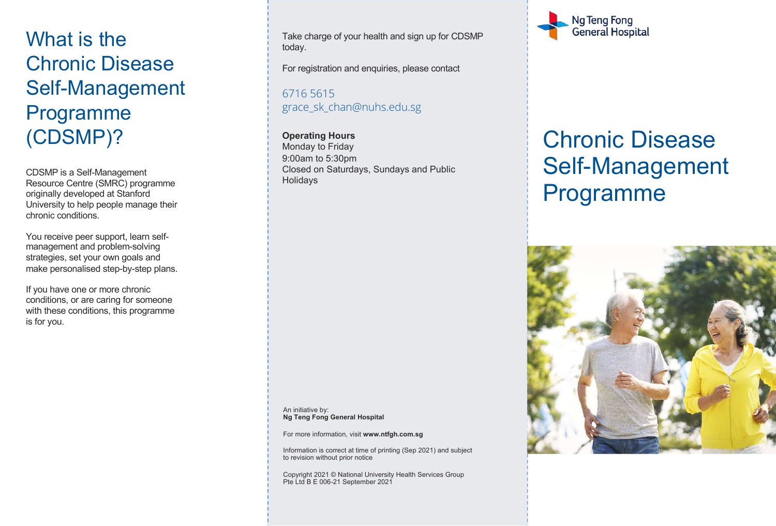## What is the Chronic Disease Self-Management Programme (CDSMP)?

CDSMP is a Self-Management Resource Centre (SMRC) programme originally developed at Stanford University to help people manage their chronic conditions.

You receive peer support, learn selfmanagement and problem-solving strategies, set your own goals and make personalised step-by-step plans.

If you have one or more chronic conditions, or are caring for someone with these conditions, this programme is for you.

Take charge of your health and sign up for CDSMP today.

For registration and enquiries, please contact

6716 5615 grace\_sk\_chan@nuhs.edu.sg

**Operating Hours** Monday to Friday 9:00am to 5:30pm Closed on Saturdays, Sundays and Public Holidays

An initiative by: **Ng Teng Fong General Hospital**

For more information, visit **www.ntfgh.com.sg**

Information is correct at time of printing (Sep 2021) and subject to revision without prior notice

Copyright 2021 © National University Health Services Group Pte Ltd B E 006-21 September 2021



# Chronic Disease Self-Management Programme